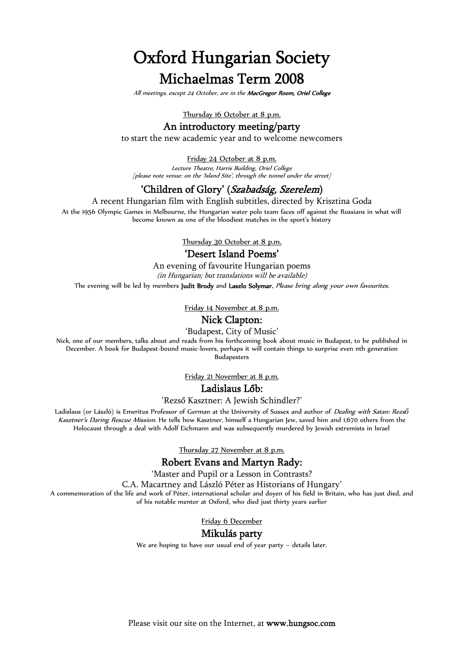# **Oxford Hungarian Society Michaelmas Term 2008**

*All meetings, except 24 October, are in the MacGregor Room, Oriel College*

Thursday 16 October at 8 p.m.

## **An introductory meeting/party**

to start the new academic year and to welcome newcomers

Friday 24 October at 8 p.m.

*Lecture Theatre, Harris Building, Oriel College [please note venue: on the 'Island Site', through the tunnel under the street]*

### **'Children of Glory' (***Szabadság, Szerelem***)**

A recent Hungarian film with English subtitles, directed by Krisztina Goda

At the 1956 Olympic Games in Melbourne, the Hungarian water polo team faces off against the Russians in what will become known as one of the bloodiest matches in the sport's history

Thursday 30 October at 8 p.m.

## **'Desert Island Poems'**

An evening of favourite Hungarian poems *(in Hungarian; but translations will be available)*

The evening will be led by members **Judit Brody** and **Laszlo Solymar.** *Please bring along your own favourites*.

Friday 14 November at 8 p.m.

## **Nick Clapton:**

'Budapest, City of Music'

Nick, one of our members, talks about and reads from his forthcoming book about music in Budapest, to be published in December. A book for Budapest-bound music-lovers, perhaps it will contain things to surprise even nth generation Budapesters

Friday 21 November at 8 p.m.

#### **Ladislaus Lőb:**

'Rezső Kasztner: A Jewish Schindler?'

Ladislaus (or László) is Emeritus Professor of German at the University of Sussex and author of *Dealing with Satan: Rezs Kasztner's Daring Rescue Mission*. He tells how Kasztner, himself a Hungarian Jew, saved him and 1,670 others from the Holocaust through a deal with Adolf Eichmann and was subsequently murdered by Jewish extremists in Israel

Thursday 27 November at 8 p.m.

#### **Robert Evans and Martyn Rady:**

'Master and Pupil or a Lesson in Contrasts?

C.A. Macartney and László Péter as Historians of Hungary'

A commemoration of the life and work of Péter, international scholar and doyen of his field in Britain, who has just died, and of his notable mentor at Oxford, who died just thirty years earlier

Friday 6 December

#### **Mikulás party**

We are hoping to have our usual end of year party – details later.

Please visit our site on the Internet, at **www.hungsoc.com**